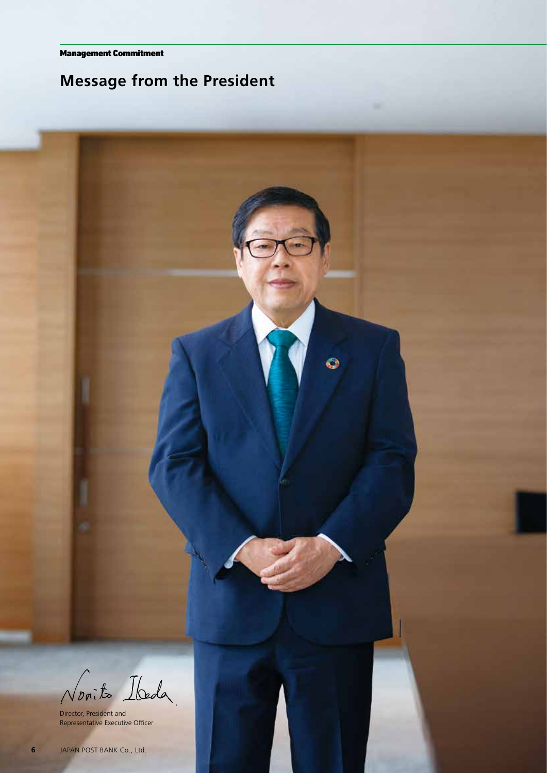Management Commitment

# **Message from the President**

Nonito Ibeda

Director, President and Representative Executive Officer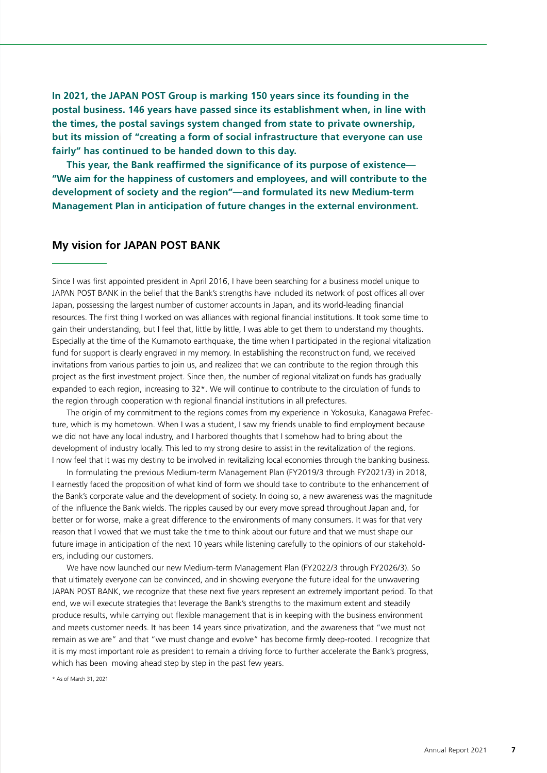**In 2021, the JAPAN POST Group is marking 150 years since its founding in the postal business. 146 years have passed since its establishment when, in line with the times, the postal savings system changed from state to private ownership, but its mission of "creating a form of social infrastructure that everyone can use fairly" has continued to be handed down to this day.**

**This year, the Bank reaffirmed the significance of its purpose of existence— "We aim for the happiness of customers and employees, and will contribute to the development of society and the region"—and formulated its new Medium-term Management Plan in anticipation of future changes in the external environment.**

#### **My vision for JAPAN POST BANK**

Since I was first appointed president in April 2016, I have been searching for a business model unique to JAPAN POST BANK in the belief that the Bank's strengths have included its network of post offices all over Japan, possessing the largest number of customer accounts in Japan, and its world-leading financial resources. The first thing I worked on was alliances with regional financial institutions. It took some time to gain their understanding, but I feel that, little by little, I was able to get them to understand my thoughts. Especially at the time of the Kumamoto earthquake, the time when I participated in the regional vitalization fund for support is clearly engraved in my memory. In establishing the reconstruction fund, we received invitations from various parties to join us, and realized that we can contribute to the region through this project as the first investment project. Since then, the number of regional vitalization funds has gradually expanded to each region, increasing to 32<sup>\*</sup>. We will continue to contribute to the circulation of funds to the region through cooperation with regional financial institutions in all prefectures.

The origin of my commitment to the regions comes from my experience in Yokosuka, Kanagawa Prefecture, which is my hometown. When I was a student, I saw my friends unable to find employment because we did not have any local industry, and I harbored thoughts that I somehow had to bring about the development of industry locally. This led to my strong desire to assist in the revitalization of the regions. I now feel that it was my destiny to be involved in revitalizing local economies through the banking business.

In formulating the previous Medium-term Management Plan (FY2019/3 through FY2021/3) in 2018, I earnestly faced the proposition of what kind of form we should take to contribute to the enhancement of the Bank's corporate value and the development of society. In doing so, a new awareness was the magnitude of the influence the Bank wields. The ripples caused by our every move spread throughout Japan and, for better or for worse, make a great difference to the environments of many consumers. It was for that very reason that I vowed that we must take the time to think about our future and that we must shape our future image in anticipation of the next 10 years while listening carefully to the opinions of our stakeholders, including our customers.

We have now launched our new Medium-term Management Plan (FY2022/3 through FY2026/3). So that ultimately everyone can be convinced, and in showing everyone the future ideal for the unwavering JAPAN POST BANK, we recognize that these next five years represent an extremely important period. To that end, we will execute strategies that leverage the Bank's strengths to the maximum extent and steadily produce results, while carrying out flexible management that is in keeping with the business environment and meets customer needs. It has been 14 years since privatization, and the awareness that "we must not remain as we are" and that "we must change and evolve" has become firmly deep-rooted. I recognize that it is my most important role as president to remain a driving force to further accelerate the Bank's progress, which has been moving ahead step by step in the past few years.

\* As of March 31, 2021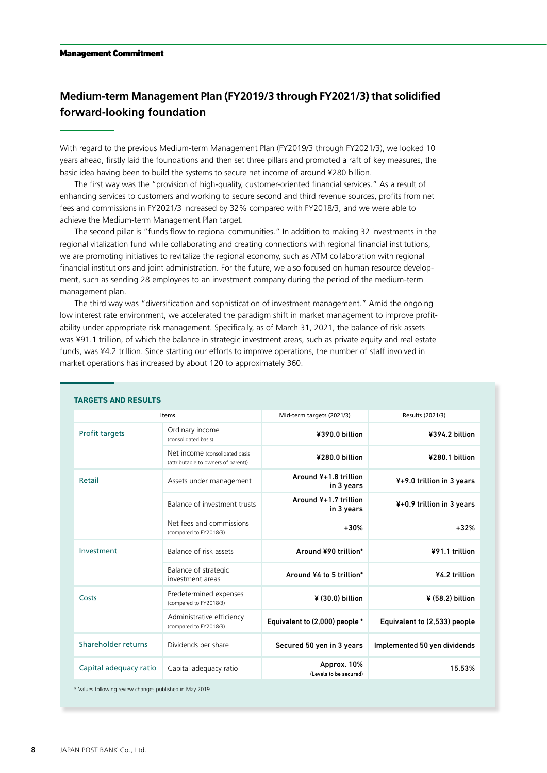### **Medium-term Management Plan (FY2019/3 through FY2021/3) that solidified forward-looking foundation**

With regard to the previous Medium-term Management Plan (FY2019/3 through FY2021/3), we looked 10 years ahead, firstly laid the foundations and then set three pillars and promoted a raft of key measures, the basic idea having been to build the systems to secure net income of around ¥280 billion.

The first way was the "provision of high-quality, customer-oriented financial services." As a result of enhancing services to customers and working to secure second and third revenue sources, profits from net fees and commissions in FY2021/3 increased by 32% compared with FY2018/3, and we were able to achieve the Medium-term Management Plan target.

The second pillar is "funds flow to regional communities." In addition to making 32 investments in the regional vitalization fund while collaborating and creating connections with regional financial institutions, we are promoting initiatives to revitalize the regional economy, such as ATM collaboration with regional financial institutions and joint administration. For the future, we also focused on human resource development, such as sending 28 employees to an investment company during the period of the medium-term management plan.

The third way was "diversification and sophistication of investment management." Amid the ongoing low interest rate environment, we accelerated the paradigm shift in market management to improve profitability under appropriate risk management. Specifically, as of March 31, 2021, the balance of risk assets was ¥91.1 trillion, of which the balance in strategic investment areas, such as private equity and real estate funds, was ¥4.2 trillion. Since starting our efforts to improve operations, the number of staff involved in market operations has increased by about 120 to approximately 360.

| Items                  |                                                                       | Mid-term targets (2021/3)             | Results (2021/3)             |
|------------------------|-----------------------------------------------------------------------|---------------------------------------|------------------------------|
| <b>Profit targets</b>  | Ordinary income<br>(consolidated basis)                               | ¥390.0 billion                        | ¥394.2 billion               |
|                        | Net income (consolidated basis<br>(attributable to owners of parent)) | ¥280.0 billion                        | ¥280.1 billion               |
| Retail                 | Assets under management                                               | Around ¥+1.8 trillion<br>in 3 years   | ¥+9.0 trillion in 3 years    |
|                        | Balance of investment trusts                                          | Around ¥+1.7 trillion<br>in 3 years   | ¥+0.9 trillion in 3 years    |
|                        | Net fees and commissions<br>(compared to FY2018/3)                    | +30%                                  | $+32%$                       |
| Investment             | Balance of risk assets                                                | Around ¥90 trillion*                  | ¥91.1 trillion               |
|                        | Balance of strategic<br>investment areas                              | Around ¥4 to 5 trillion*              | ¥4.2 trillion                |
| Costs                  | Predetermined expenses<br>(compared to FY2018/3)                      | $¥$ (30.0) billion                    | ¥ (58.2) billion             |
|                        | Administrative efficiency<br>(compared to FY2018/3)                   | Equivalent to (2,000) people *        | Equivalent to (2,533) people |
| Shareholder returns    | Dividends per share                                                   | Secured 50 yen in 3 years             | Implemented 50 yen dividends |
| Capital adequacy ratio | Capital adequacy ratio                                                | Approx. 10%<br>(Levels to be secured) | 15.53%                       |

#### **TARGETS AND RESULTS**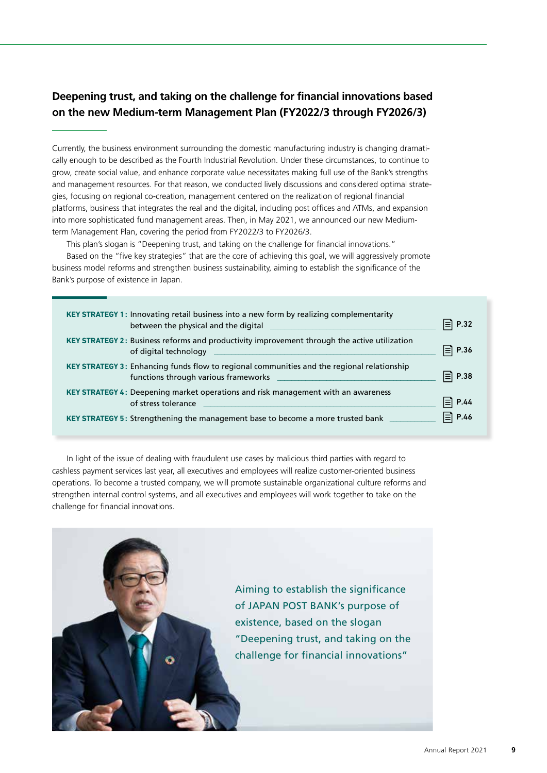## **Deepening trust, and taking on the challenge for financial innovations based on the new Medium-term Management Plan (FY2022/3 through FY2026/3)**

Currently, the business environment surrounding the domestic manufacturing industry is changing dramatically enough to be described as the Fourth Industrial Revolution. Under these circumstances, to continue to grow, create social value, and enhance corporate value necessitates making full use of the Bank's strengths and management resources. For that reason, we conducted lively discussions and considered optimal strategies, focusing on regional co-creation, management centered on the realization of regional financial platforms, business that integrates the real and the digital, including post offices and ATMs, and expansion into more sophisticated fund management areas. Then, in May 2021, we announced our new Mediumterm Management Plan, covering the period from FY2022/3 to FY2026/3.

This plan's slogan is "Deepening trust, and taking on the challenge for financial innovations."

Based on the "five key strategies" that are the core of achieving this goal, we will aggressively promote business model reforms and strengthen business sustainability, aiming to establish the significance of the Bank's purpose of existence in Japan.

| <b>KEY STRATEGY 1:</b> Innovating retail business into a new form by realizing complementarity<br>between the physical and the digital                                                                                                           | E P.32        |
|--------------------------------------------------------------------------------------------------------------------------------------------------------------------------------------------------------------------------------------------------|---------------|
| <b>KEY STRATEGY 2: Business reforms and productivity improvement through the active utilization</b><br>of digital technology<br>and the control of the control of the control of the control of the control of the control of the control of the | $\equiv$ P.36 |
| KEY STRATEGY 3: Enhancing funds flow to regional communities and the regional relationship<br>functions through various frameworks _________                                                                                                     | ⊒] P.38       |
| KEY STRATEGY 4: Deepening market operations and risk management with an awareness<br>of stress tolerance                                                                                                                                         | ⊒] P.44       |
| <b>KEY STRATEGY 5: Strengthening the management base to become a more trusted bank</b>                                                                                                                                                           | <b>E</b> P.46 |

In light of the issue of dealing with fraudulent use cases by malicious third parties with regard to cashless payment services last year, all executives and employees will realize customer-oriented business operations. To become a trusted company, we will promote sustainable organizational culture reforms and strengthen internal control systems, and all executives and employees will work together to take on the challenge for financial innovations.

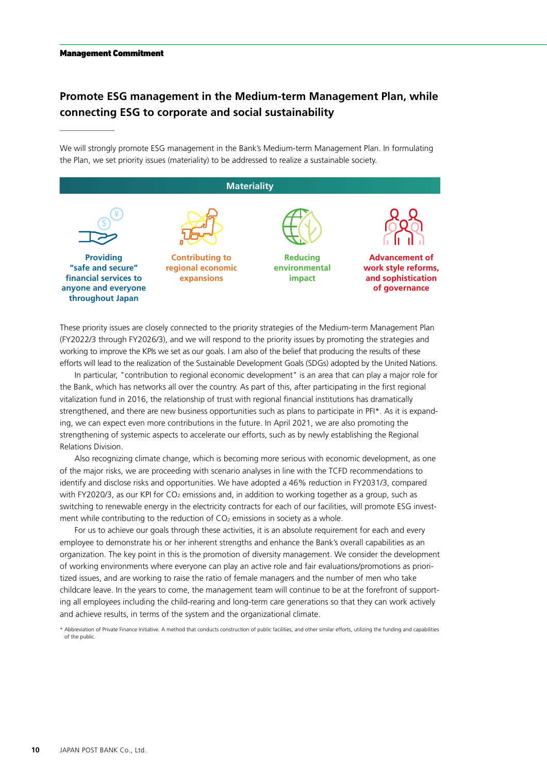### **Promote ESG management in the Medium-term Management Plan, while connecting ESG to corporate and social sustainability**

We will strongly promote ESG management in the Bank's Medium-term Management Plan. In formulating the Plan, we set priority issues (materiality) to be addressed to realize a sustainable society.



These priority issues are closely connected to the priority strategies of the Medium-term Management Plan (FY2022/3 through FY2026/3), and we will respond to the priority issues by promoting the strategies and working to improve the KPIs we set as our goals. I am also of the belief that producing the results of these efforts will lead to the realization of the Sustainable Development Goals (SDGs) adopted by the United Nations.

In particular, "contribution to regional economic development" is an area that can play a major role for the Bank, which has networks all over the country. As part of this, after participating in the first regional vitalization fund in 2016, the relationship of trust with regional financial institutions has dramatically strengthened, and there are new business opportunities such as plans to participate in PFI\*. As it is expanding, we can expect even more contributions in the future. In April 2021, we are also promoting the strengthening of systemic aspects to accelerate our efforts, such as by newly establishing the Regional Relations Division.

Also recognizing climate change, which is becoming more serious with economic development, as one of the major risks, we are proceeding with scenario analyses in line with the TCFD recommendations to identify and disclose risks and opportunities. We have adopted a 46% reduction in FY2031/3, compared with FY2020/3, as our KPI for CO<sub>2</sub> emissions and, in addition to working together as a group, such as switching to renewable energy in the electricity contracts for each of our facilities, will promote ESG investment while contributing to the reduction of  $CO<sub>2</sub>$  emissions in society as a whole.

For us to achieve our goals through these activities, it is an absolute requirement for each and every employee to demonstrate his or her inherent strengths and enhance the Bank's overall capabilities as an organization. The key point in this is the promotion of diversity management. We consider the development of working environments where everyone can play an active role and fair evaluations/promotions as prioritized issues, and are working to raise the ratio of female managers and the number of men who take childcare leave. In the years to come, the management team will continue to be at the forefront of supporting all employees including the child-rearing and long-term care generations so that they can work actively and achieve results, in terms of the system and the organizational climate.

<sup>\*</sup> Abbreviation of Private Finance Initiative. A method that conducts construction of public facilities, and other similar efforts, utilizing the funding and capabilities of the public.